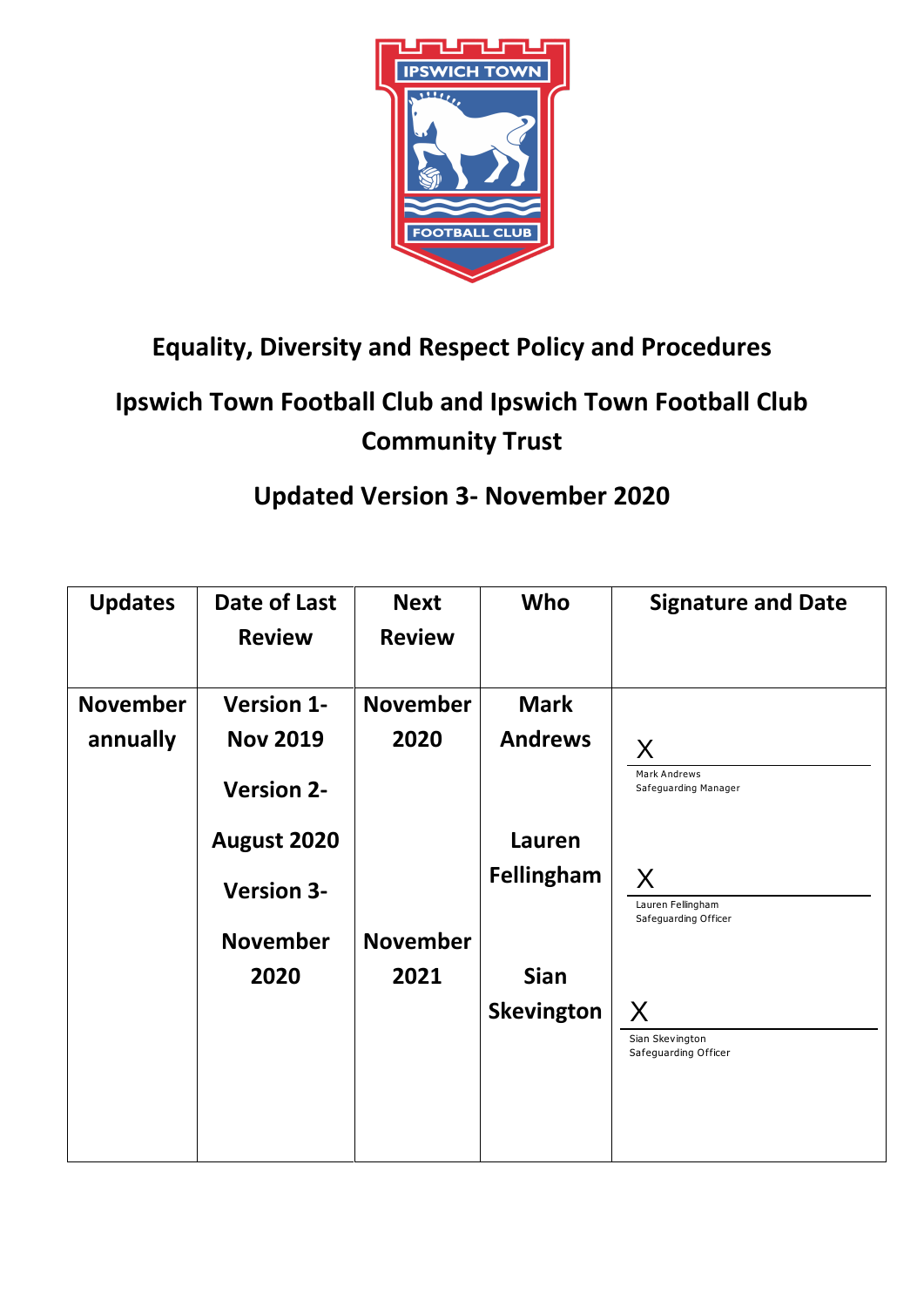

# **Equality, Diversity and Respect Policy and Procedures**

# **Ipswich Town Football Club and Ipswich Town Football Club Community Trust**

# **Updated Version 3- November 2020**

| <b>Updates</b>  | Date of Last<br><b>Review</b> | <b>Next</b><br><b>Review</b> | Who               | <b>Signature and Date</b>                      |
|-----------------|-------------------------------|------------------------------|-------------------|------------------------------------------------|
| <b>November</b> | <b>Version 1-</b>             | <b>November</b>              | <b>Mark</b>       |                                                |
| annually        | <b>Nov 2019</b>               | 2020                         | <b>Andrews</b>    | X                                              |
|                 | <b>Version 2-</b>             |                              |                   | Mark Andrews<br>Safeguarding Manager           |
|                 | August 2020                   |                              | Lauren            |                                                |
|                 | <b>Version 3-</b>             |                              | <b>Fellingham</b> | X<br>Lauren Fellingham<br>Safeguarding Officer |
|                 | <b>November</b>               | <b>November</b>              |                   |                                                |
|                 | 2020                          | 2021                         | <b>Sian</b>       |                                                |
|                 |                               |                              | <b>Skevington</b> | X                                              |
|                 |                               |                              |                   | Sian Skevington<br>Safeguarding Officer        |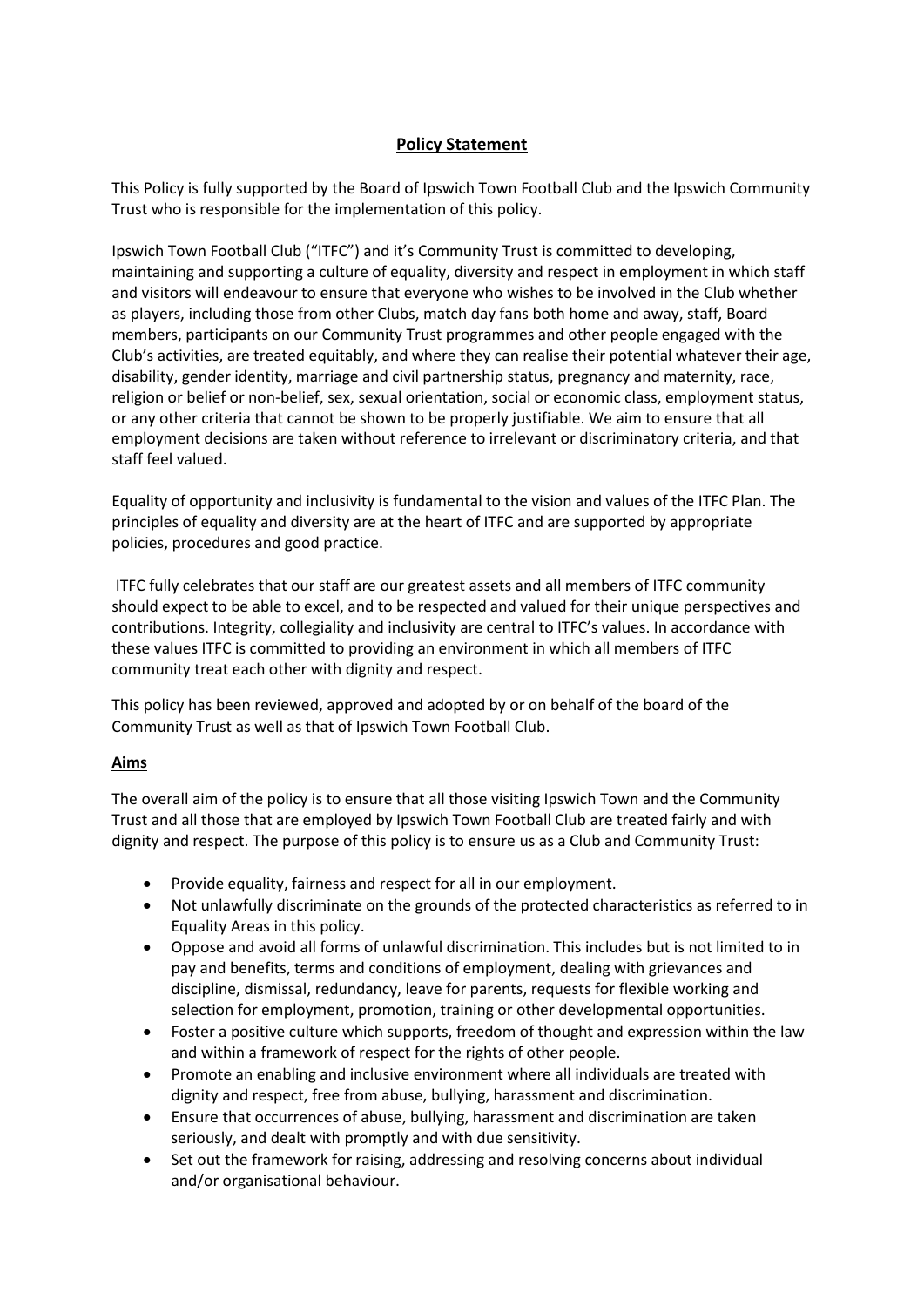# **Policy Statement**

This Policy is fully supported by the Board of Ipswich Town Football Club and the Ipswich Community Trust who is responsible for the implementation of this policy.

Ipswich Town Football Club ("ITFC") and it's Community Trust is committed to developing, maintaining and supporting a culture of equality, diversity and respect in employment in which staff and visitors will endeavour to ensure that everyone who wishes to be involved in the Club whether as players, including those from other Clubs, match day fans both home and away, staff, Board members, participants on our Community Trust programmes and other people engaged with the Club's activities, are treated equitably, and where they can realise their potential whatever their age, disability, gender identity, marriage and civil partnership status, pregnancy and maternity, race, religion or belief or non-belief, sex, sexual orientation, social or economic class, employment status, or any other criteria that cannot be shown to be properly justifiable. We aim to ensure that all employment decisions are taken without reference to irrelevant or discriminatory criteria, and that staff feel valued.

Equality of opportunity and inclusivity is fundamental to the vision and values of the ITFC Plan. The principles of equality and diversity are at the heart of ITFC and are supported by appropriate policies, procedures and good practice.

ITFC fully celebrates that our staff are our greatest assets and all members of ITFC community should expect to be able to excel, and to be respected and valued for their unique perspectives and contributions. Integrity, collegiality and inclusivity are central to ITFC's values. In accordance with these values ITFC is committed to providing an environment in which all members of ITFC community treat each other with dignity and respect.

This policy has been reviewed, approved and adopted by or on behalf of the board of the Community Trust as well as that of Ipswich Town Football Club.

# **Aims**

The overall aim of the policy is to ensure that all those visiting Ipswich Town and the Community Trust and all those that are employed by Ipswich Town Football Club are treated fairly and with dignity and respect. The purpose of this policy is to ensure us as a Club and Community Trust:

- Provide equality, fairness and respect for all in our employment.
- Not unlawfully discriminate on the grounds of the protected characteristics as referred to in Equality Areas in this policy.
- Oppose and avoid all forms of unlawful discrimination. This includes but is not limited to in pay and benefits, terms and conditions of employment, dealing with grievances and discipline, dismissal, redundancy, leave for parents, requests for flexible working and selection for employment, promotion, training or other developmental opportunities.
- Foster a positive culture which supports, freedom of thought and expression within the law and within a framework of respect for the rights of other people.
- Promote an enabling and inclusive environment where all individuals are treated with dignity and respect, free from abuse, bullying, harassment and discrimination.
- Ensure that occurrences of abuse, bullying, harassment and discrimination are taken seriously, and dealt with promptly and with due sensitivity.
- Set out the framework for raising, addressing and resolving concerns about individual and/or organisational behaviour.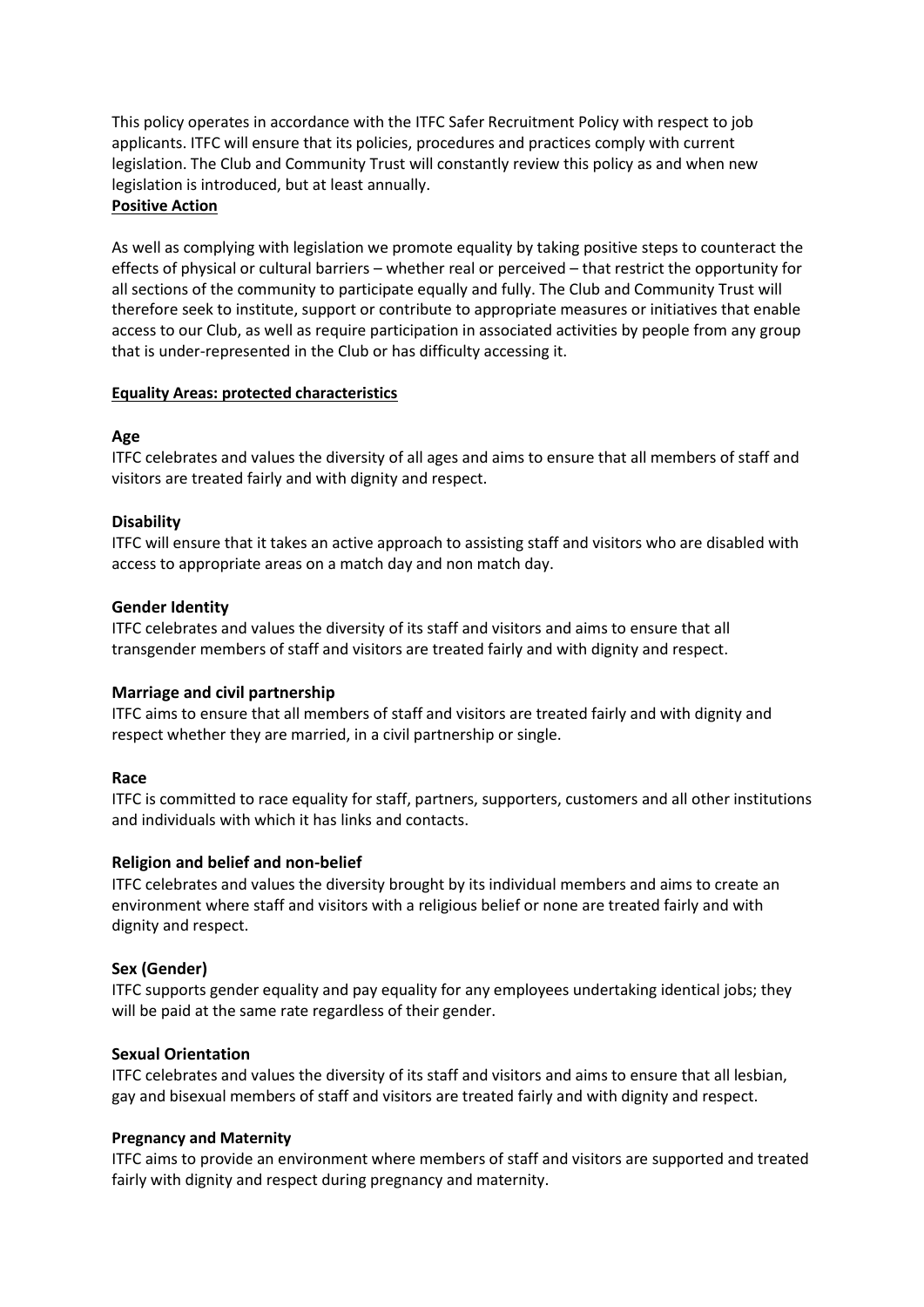This policy operates in accordance with the ITFC Safer Recruitment Policy with respect to job applicants. ITFC will ensure that its policies, procedures and practices comply with current legislation. The Club and Community Trust will constantly review this policy as and when new legislation is introduced, but at least annually. **Positive Action** 

As well as complying with legislation we promote equality by taking positive steps to counteract the effects of physical or cultural barriers – whether real or perceived – that restrict the opportunity for all sections of the community to participate equally and fully. The Club and Community Trust will therefore seek to institute, support or contribute to appropriate measures or initiatives that enable access to our Club, as well as require participation in associated activities by people from any group that is under-represented in the Club or has difficulty accessing it.

## **Equality Areas: protected characteristics**

# **Age**

ITFC celebrates and values the diversity of all ages and aims to ensure that all members of staff and visitors are treated fairly and with dignity and respect.

## **Disability**

ITFC will ensure that it takes an active approach to assisting staff and visitors who are disabled with access to appropriate areas on a match day and non match day.

#### **Gender Identity**

ITFC celebrates and values the diversity of its staff and visitors and aims to ensure that all transgender members of staff and visitors are treated fairly and with dignity and respect.

#### **Marriage and civil partnership**

ITFC aims to ensure that all members of staff and visitors are treated fairly and with dignity and respect whether they are married, in a civil partnership or single.

#### **Race**

ITFC is committed to race equality for staff, partners, supporters, customers and all other institutions and individuals with which it has links and contacts.

#### **Religion and belief and non-belief**

ITFC celebrates and values the diversity brought by its individual members and aims to create an environment where staff and visitors with a religious belief or none are treated fairly and with dignity and respect.

#### **Sex (Gender)**

ITFC supports gender equality and pay equality for any employees undertaking identical jobs; they will be paid at the same rate regardless of their gender.

#### **Sexual Orientation**

ITFC celebrates and values the diversity of its staff and visitors and aims to ensure that all lesbian, gay and bisexual members of staff and visitors are treated fairly and with dignity and respect.

#### **Pregnancy and Maternity**

ITFC aims to provide an environment where members of staff and visitors are supported and treated fairly with dignity and respect during pregnancy and maternity.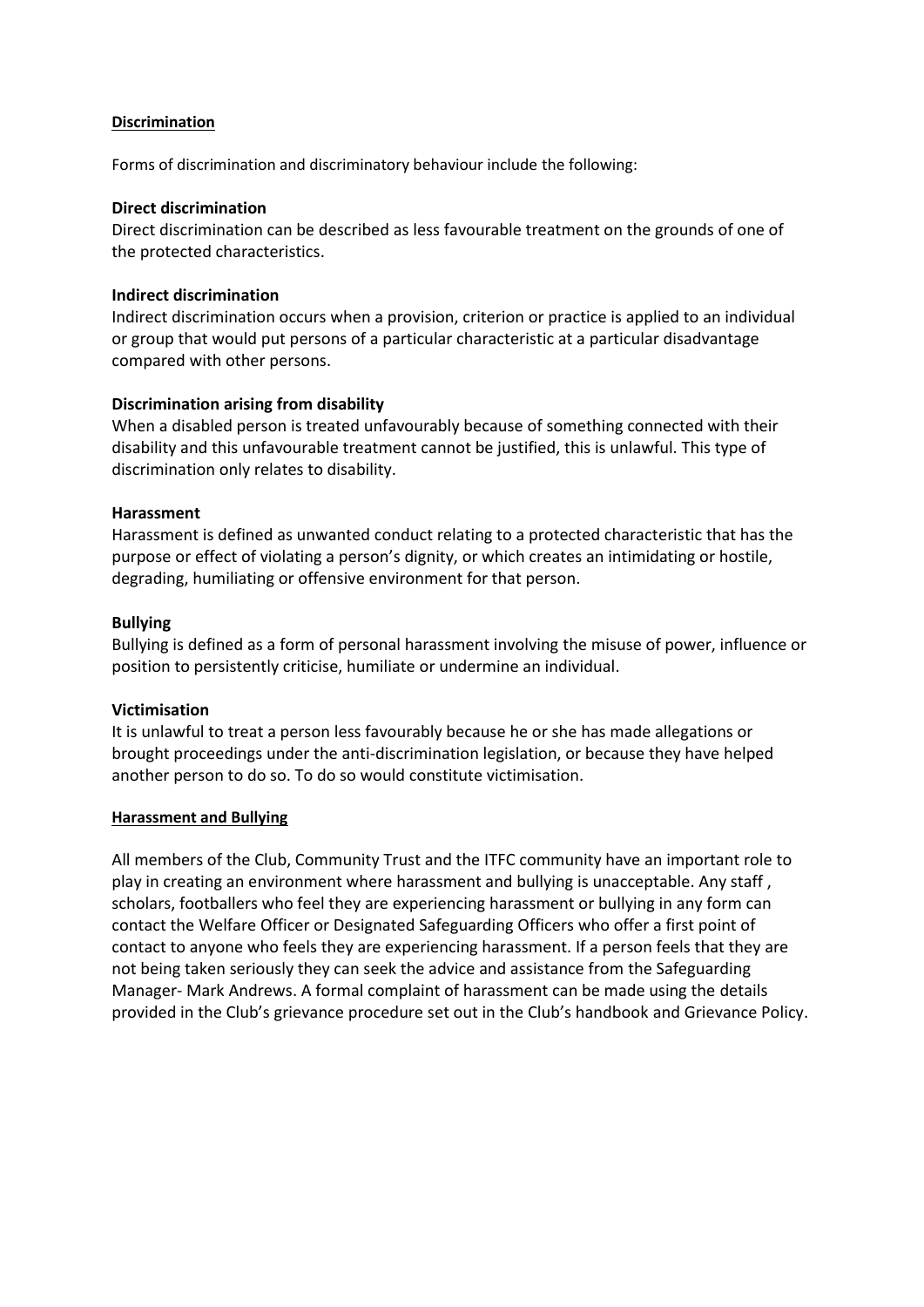## **Discrimination**

Forms of discrimination and discriminatory behaviour include the following:

## **Direct discrimination**

Direct discrimination can be described as less favourable treatment on the grounds of one of the protected characteristics.

## **Indirect discrimination**

Indirect discrimination occurs when a provision, criterion or practice is applied to an individual or group that would put persons of a particular characteristic at a particular disadvantage compared with other persons.

# **Discrimination arising from disability**

When a disabled person is treated unfavourably because of something connected with their disability and this unfavourable treatment cannot be justified, this is unlawful. This type of discrimination only relates to disability.

## **Harassment**

Harassment is defined as unwanted conduct relating to a protected characteristic that has the purpose or effect of violating a person's dignity, or which creates an intimidating or hostile, degrading, humiliating or offensive environment for that person.

## **Bullying**

Bullying is defined as a form of personal harassment involving the misuse of power, influence or position to persistently criticise, humiliate or undermine an individual.

#### **Victimisation**

It is unlawful to treat a person less favourably because he or she has made allegations or brought proceedings under the anti-discrimination legislation, or because they have helped another person to do so. To do so would constitute victimisation.

#### **Harassment and Bullying**

All members of the Club, Community Trust and the ITFC community have an important role to play in creating an environment where harassment and bullying is unacceptable. Any staff , scholars, footballers who feel they are experiencing harassment or bullying in any form can contact the Welfare Officer or Designated Safeguarding Officers who offer a first point of contact to anyone who feels they are experiencing harassment. If a person feels that they are not being taken seriously they can seek the advice and assistance from the Safeguarding Manager- Mark Andrews. A formal complaint of harassment can be made using the details provided in the Club's grievance procedure set out in the Club's handbook and Grievance Policy.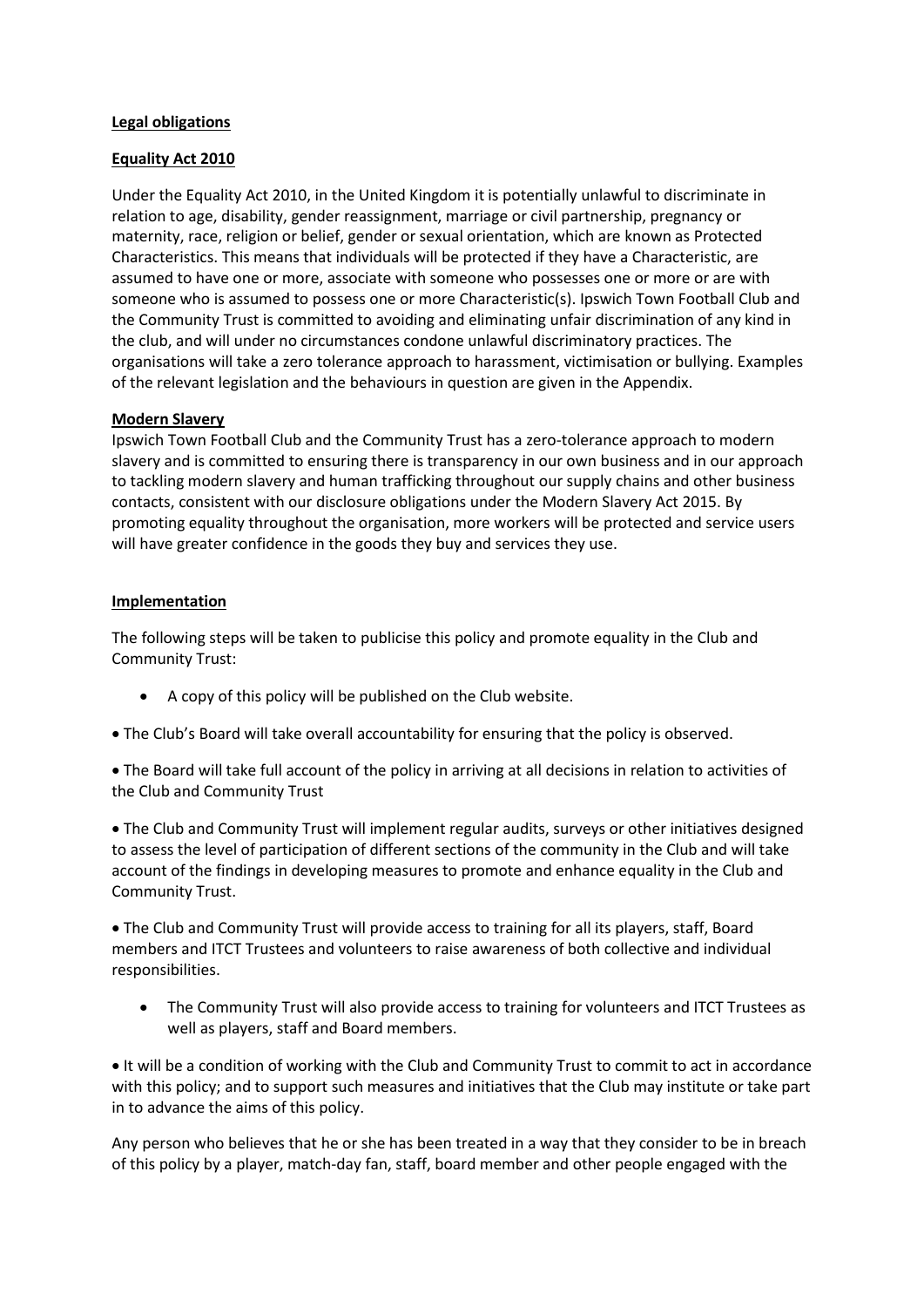#### **Legal obligations**

#### **Equality Act 2010**

Under the Equality Act 2010, in the United Kingdom it is potentially unlawful to discriminate in relation to age, disability, gender reassignment, marriage or civil partnership, pregnancy or maternity, race, religion or belief, gender or sexual orientation, which are known as Protected Characteristics. This means that individuals will be protected if they have a Characteristic, are assumed to have one or more, associate with someone who possesses one or more or are with someone who is assumed to possess one or more Characteristic(s). Ipswich Town Football Club and the Community Trust is committed to avoiding and eliminating unfair discrimination of any kind in the club, and will under no circumstances condone unlawful discriminatory practices. The organisations will take a zero tolerance approach to harassment, victimisation or bullying. Examples of the relevant legislation and the behaviours in question are given in the Appendix.

#### **Modern Slavery**

Ipswich Town Football Club and the Community Trust has a zero-tolerance approach to modern slavery and is committed to ensuring there is transparency in our own business and in our approach to tackling modern slavery and human trafficking throughout our supply chains and other business contacts, consistent with our disclosure obligations under the Modern Slavery Act 2015. By promoting equality throughout the organisation, more workers will be protected and service users will have greater confidence in the goods they buy and services they use.

#### **Implementation**

The following steps will be taken to publicise this policy and promote equality in the Club and Community Trust:

- A copy of this policy will be published on the Club website.
- The Club's Board will take overall accountability for ensuring that the policy is observed.
- The Board will take full account of the policy in arriving at all decisions in relation to activities of the Club and Community Trust

 The Club and Community Trust will implement regular audits, surveys or other initiatives designed to assess the level of participation of different sections of the community in the Club and will take account of the findings in developing measures to promote and enhance equality in the Club and Community Trust.

 The Club and Community Trust will provide access to training for all its players, staff, Board members and ITCT Trustees and volunteers to raise awareness of both collective and individual responsibilities.

 The Community Trust will also provide access to training for volunteers and ITCT Trustees as well as players, staff and Board members.

 $\bullet$  It will be a condition of working with the Club and Community Trust to commit to act in accordance with this policy; and to support such measures and initiatives that the Club may institute or take part in to advance the aims of this policy.

Any person who believes that he or she has been treated in a way that they consider to be in breach of this policy by a player, match-day fan, staff, board member and other people engaged with the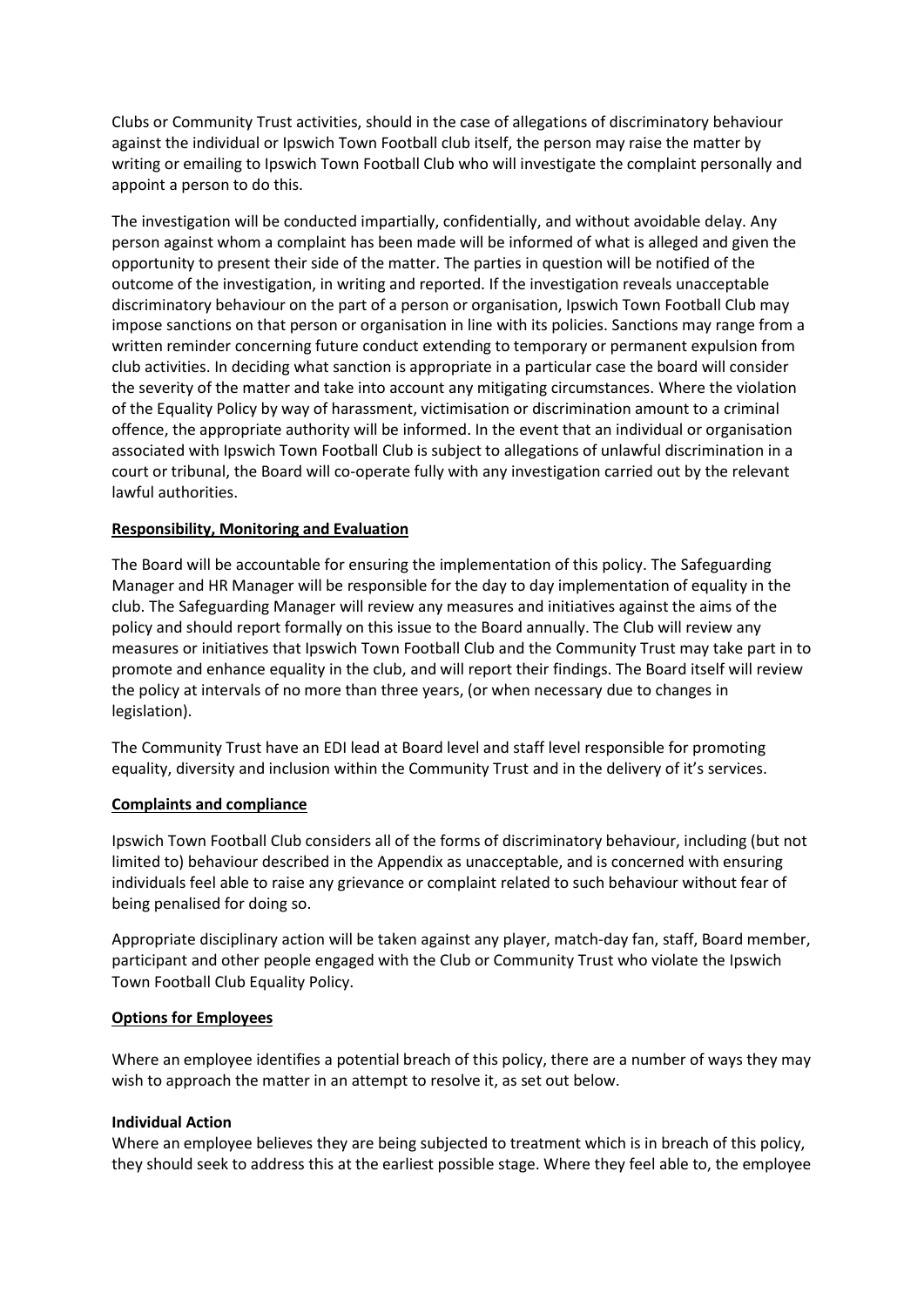Clubs or Community Trust activities, should in the case of allegations of discriminatory behaviour against the individual or Ipswich Town Football club itself, the person may raise the matter by writing or emailing to Ipswich Town Football Club who will investigate the complaint personally and appoint a person to do this.

The investigation will be conducted impartially, confidentially, and without avoidable delay. Any person against whom a complaint has been made will be informed of what is alleged and given the opportunity to present their side of the matter. The parties in question will be notified of the outcome of the investigation, in writing and reported. If the investigation reveals unacceptable discriminatory behaviour on the part of a person or organisation, Ipswich Town Football Club may impose sanctions on that person or organisation in line with its policies. Sanctions may range from a written reminder concerning future conduct extending to temporary or permanent expulsion from club activities. In deciding what sanction is appropriate in a particular case the board will consider the severity of the matter and take into account any mitigating circumstances. Where the violation of the Equality Policy by way of harassment, victimisation or discrimination amount to a criminal offence, the appropriate authority will be informed. In the event that an individual or organisation associated with Ipswich Town Football Club is subject to allegations of unlawful discrimination in a court or tribunal, the Board will co-operate fully with any investigation carried out by the relevant lawful authorities.

## **Responsibility, Monitoring and Evaluation**

The Board will be accountable for ensuring the implementation of this policy. The Safeguarding Manager and HR Manager will be responsible for the day to day implementation of equality in the club. The Safeguarding Manager will review any measures and initiatives against the aims of the policy and should report formally on this issue to the Board annually. The Club will review any measures or initiatives that Ipswich Town Football Club and the Community Trust may take part in to promote and enhance equality in the club, and will report their findings. The Board itself will review the policy at intervals of no more than three years, (or when necessary due to changes in legislation).

The Community Trust have an EDI lead at Board level and staff level responsible for promoting equality, diversity and inclusion within the Community Trust and in the delivery of it's services.

#### **Complaints and compliance**

Ipswich Town Football Club considers all of the forms of discriminatory behaviour, including (but not limited to) behaviour described in the Appendix as unacceptable, and is concerned with ensuring individuals feel able to raise any grievance or complaint related to such behaviour without fear of being penalised for doing so.

Appropriate disciplinary action will be taken against any player, match-day fan, staff, Board member, participant and other people engaged with the Club or Community Trust who violate the Ipswich Town Football Club Equality Policy.

#### **Options for Employees**

Where an employee identifies a potential breach of this policy, there are a number of ways they may wish to approach the matter in an attempt to resolve it, as set out below.

#### **Individual Action**

Where an employee believes they are being subjected to treatment which is in breach of this policy, they should seek to address this at the earliest possible stage. Where they feel able to, the employee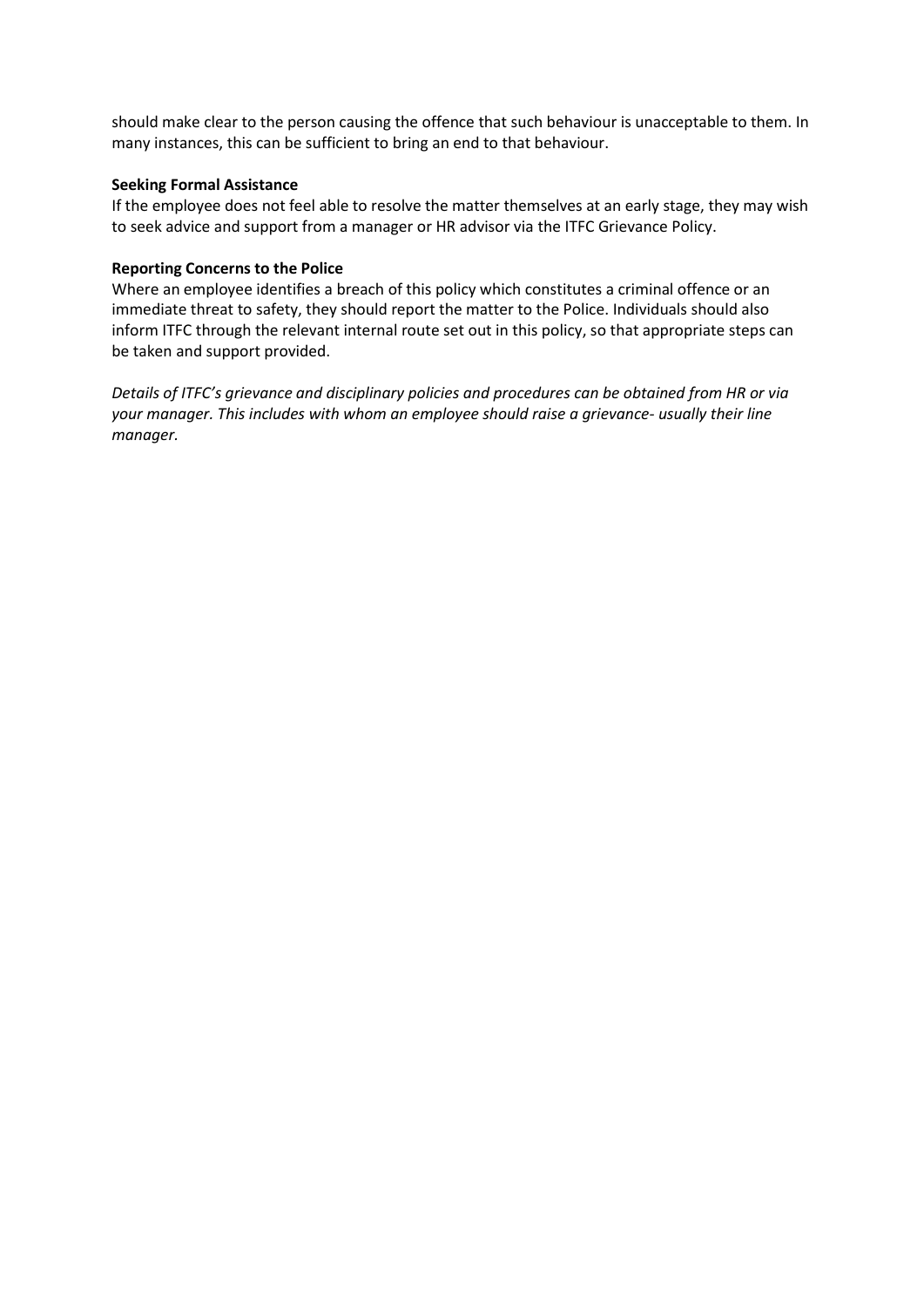should make clear to the person causing the offence that such behaviour is unacceptable to them. In many instances, this can be sufficient to bring an end to that behaviour.

#### **Seeking Formal Assistance**

If the employee does not feel able to resolve the matter themselves at an early stage, they may wish to seek advice and support from a manager or HR advisor via the ITFC Grievance Policy.

#### **Reporting Concerns to the Police**

Where an employee identifies a breach of this policy which constitutes a criminal offence or an immediate threat to safety, they should report the matter to the Police. Individuals should also inform ITFC through the relevant internal route set out in this policy, so that appropriate steps can be taken and support provided.

*Details of ITFC's grievance and disciplinary policies and procedures can be obtained from HR or via your manager. This includes with whom an employee should raise a grievance- usually their line manager.*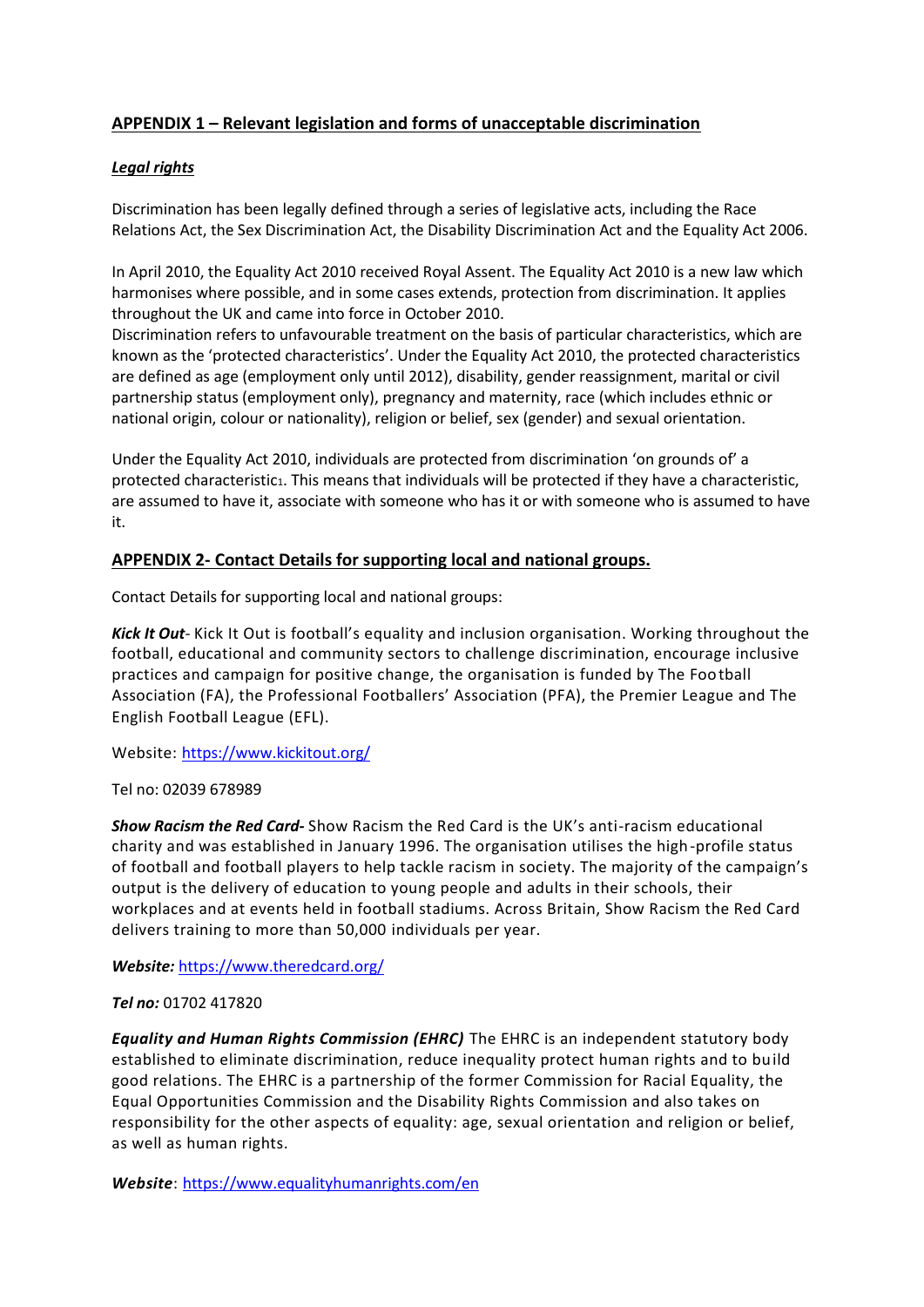# **APPENDIX 1 – Relevant legislation and forms of unacceptable discrimination**

# *Legal rights*

Discrimination has been legally defined through a series of legislative acts, including the Race Relations Act, the Sex Discrimination Act, the Disability Discrimination Act and the Equality Act 2006.

In April 2010, the Equality Act 2010 received Royal Assent. The Equality Act 2010 is a new law which harmonises where possible, and in some cases extends, protection from discrimination. It applies throughout the UK and came into force in October 2010.

Discrimination refers to unfavourable treatment on the basis of particular characteristics, which are known as the 'protected characteristics'. Under the Equality Act 2010, the protected characteristics are defined as age (employment only until 2012), disability, gender reassignment, marital or civil partnership status (employment only), pregnancy and maternity, race (which includes ethnic or national origin, colour or nationality), religion or belief, sex (gender) and sexual orientation.

Under the Equality Act 2010, individuals are protected from discrimination 'on grounds of' a protected characteristic1. This means that individuals will be protected if they have a characteristic, are assumed to have it, associate with someone who has it or with someone who is assumed to have it.

# **APPENDIX 2- Contact Details for supporting local and national groups.**

Contact Details for supporting local and national groups:

*Kick It Out*- Kick It Out is football's equality and inclusion organisation. Working throughout the football, educational and community sectors to challenge discrimination, encourage inclusive practices and campaign for positive change, the organisation is funded by The Football Association (FA), the Professional Footballers' Association (PFA), the Premier League and The English Football League (EFL).

Website:<https://www.kickitout.org/>

#### Tel no: 02039 678989

*Show Racism the Red Card-* Show Racism the Red Card is the UK's anti-racism educational charity and was established in January 1996. The organisation utilises the high-profile status of football and football players to help tackle racism in society. The majority of the campaign's output is the delivery of education to young people and adults in their schools, their workplaces and at events held in football stadiums. Across Britain, Show Racism the Red Card delivers training to more than 50,000 individuals per year.

*Website:* <https://www.theredcard.org/>

# *Tel no:* 01702 417820

*Equality and Human Rights Commission (EHRC)* The EHRC is an independent statutory body established to eliminate discrimination, reduce inequality protect human rights and to build good relations. The EHRC is a partnership of the former Commission for Racial Equality, the Equal Opportunities Commission and the Disability Rights Commission and also takes on responsibility for the other aspects of equality: age, sexual orientation and religion or belief, as well as human rights.

*Website*:<https://www.equalityhumanrights.com/en>